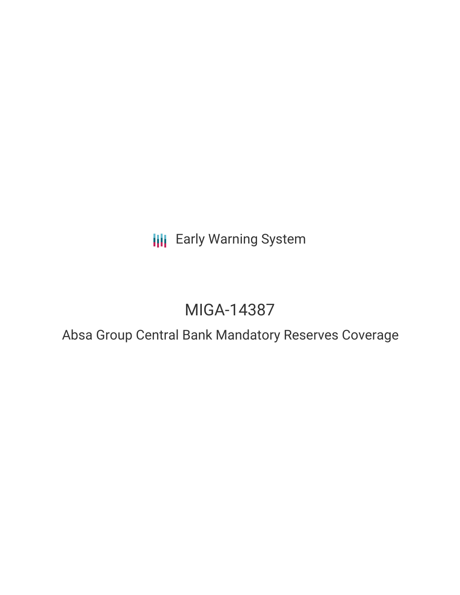# **III** Early Warning System

# MIGA-14387

### Absa Group Central Bank Mandatory Reserves Coverage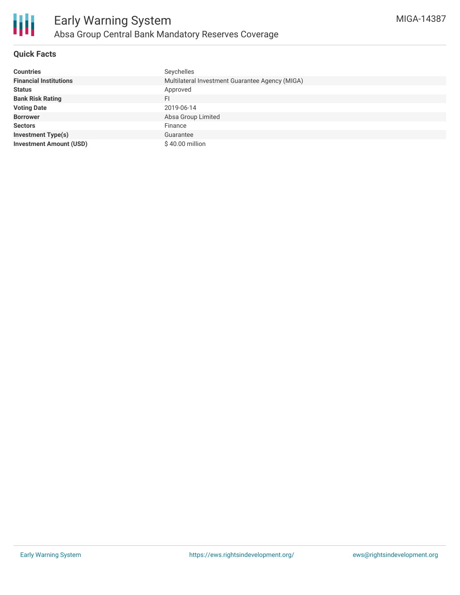

#### **Quick Facts**

| <b>Countries</b>               | Seychelles                                      |
|--------------------------------|-------------------------------------------------|
| <b>Financial Institutions</b>  | Multilateral Investment Guarantee Agency (MIGA) |
| <b>Status</b>                  | Approved                                        |
| <b>Bank Risk Rating</b>        | FI                                              |
| <b>Voting Date</b>             | 2019-06-14                                      |
| <b>Borrower</b>                | Absa Group Limited                              |
| <b>Sectors</b>                 | Finance                                         |
| <b>Investment Type(s)</b>      | Guarantee                                       |
| <b>Investment Amount (USD)</b> | $$40.00$ million                                |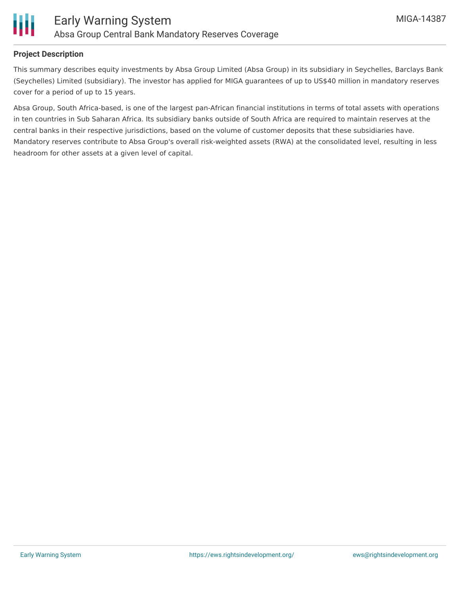

#### **Project Description**

This summary describes equity investments by Absa Group Limited (Absa Group) in its subsidiary in Seychelles, Barclays Bank (Seychelles) Limited (subsidiary). The investor has applied for MIGA guarantees of up to US\$40 million in mandatory reserves cover for a period of up to 15 years.

Absa Group, South Africa-based, is one of the largest pan-African financial institutions in terms of total assets with operations in ten countries in Sub Saharan Africa. Its subsidiary banks outside of South Africa are required to maintain reserves at the central banks in their respective jurisdictions, based on the volume of customer deposits that these subsidiaries have. Mandatory reserves contribute to Absa Group's overall risk-weighted assets (RWA) at the consolidated level, resulting in less headroom for other assets at a given level of capital.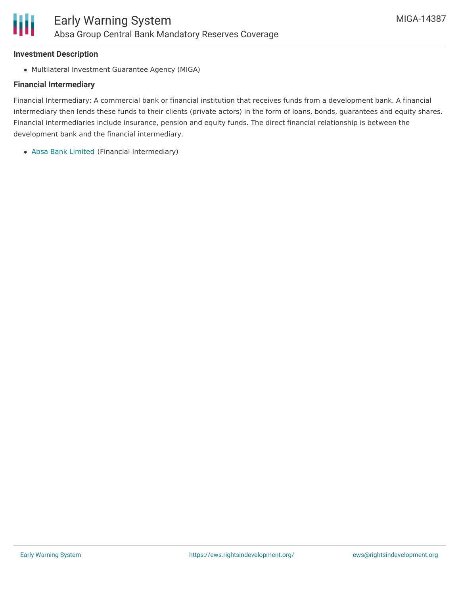### **Investment Description**

Multilateral Investment Guarantee Agency (MIGA)

### **Financial Intermediary**

Financial Intermediary: A commercial bank or financial institution that receives funds from a development bank. A financial intermediary then lends these funds to their clients (private actors) in the form of loans, bonds, guarantees and equity shares. Financial intermediaries include insurance, pension and equity funds. The direct financial relationship is between the development bank and the financial intermediary.

Absa Bank [Limited](file:///actor/748/) (Financial Intermediary)